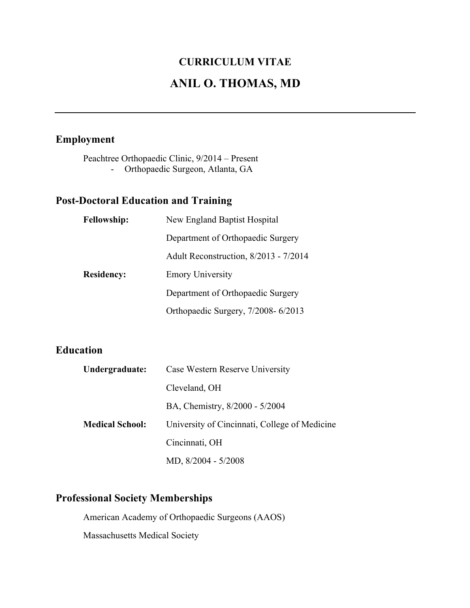# **CURRICULUM VITAE ANIL O. THOMAS, MD**

## **Employment**

Peachtree Orthopaedic Clinic, 9/2014 – Present - Orthopaedic Surgeon, Atlanta, GA

## **Post-Doctoral Education and Training**

| <b>Fellowship:</b> | New England Baptist Hospital          |
|--------------------|---------------------------------------|
|                    | Department of Orthopaedic Surgery     |
|                    | Adult Reconstruction, 8/2013 - 7/2014 |
| <b>Residency:</b>  | <b>Emory University</b>               |
|                    | Department of Orthopaedic Surgery     |
|                    | Orthopaedic Surgery, 7/2008-6/2013    |

## **Education**

| Undergraduate:         | Case Western Reserve University               |
|------------------------|-----------------------------------------------|
|                        | Cleveland, OH                                 |
|                        | BA, Chemistry, 8/2000 - 5/2004                |
| <b>Medical School:</b> | University of Cincinnati, College of Medicine |
|                        | Cincinnati, OH                                |
|                        | MD, 8/2004 - 5/2008                           |

## **Professional Society Memberships**

American Academy of Orthopaedic Surgeons (AAOS) Massachusetts Medical Society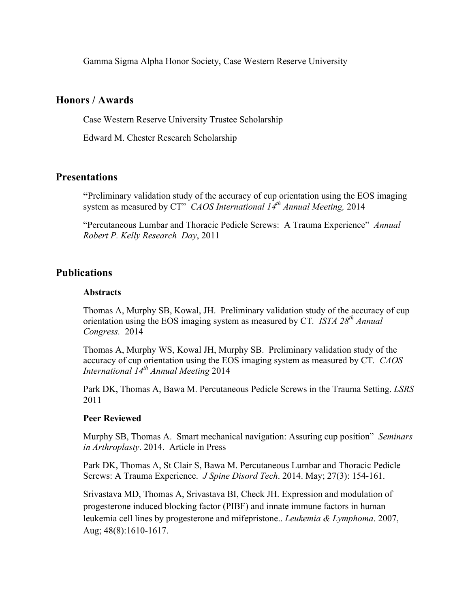Gamma Sigma Alpha Honor Society, Case Western Reserve University

#### **Honors / Awards**

Case Western Reserve University Trustee Scholarship

Edward M. Chester Research Scholarship

### **Presentations**

**"**Preliminary validation study of the accuracy of cup orientation using the EOS imaging system as measured by CT" *CAOS International 14th Annual Meeting,* 2014

"Percutaneous Lumbar and Thoracic Pedicle Screws: A Trauma Experience" *Annual Robert P. Kelly Research Day*, 2011

#### **Publications**

#### **Abstracts**

Thomas A, Murphy SB, Kowal, JH. Preliminary validation study of the accuracy of cup orientation using the EOS imaging system as measured by CT*. ISTA 28th Annual Congress.* 2014

Thomas A, Murphy WS, Kowal JH, Murphy SB. Preliminary validation study of the accuracy of cup orientation using the EOS imaging system as measured by CT*. CAOS International 14th Annual Meeting* 2014

Park DK, Thomas A, Bawa M. Percutaneous Pedicle Screws in the Trauma Setting. *LSRS* 2011

#### **Peer Reviewed**

Murphy SB, Thomas A. Smart mechanical navigation: Assuring cup position" *Seminars in Arthroplasty*. 2014. Article in Press

Park DK, Thomas A, St Clair S, Bawa M. Percutaneous Lumbar and Thoracic Pedicle Screws: A Trauma Experience. *J Spine Disord Tech*. 2014. May; 27(3): 154-161.

Srivastava MD, Thomas A, Srivastava BI, Check JH. Expression and modulation of progesterone induced blocking factor (PIBF) and innate immune factors in human leukemia cell lines by progesterone and mifepristone.. *Leukemia & Lymphoma*. 2007, Aug; 48(8):1610-1617.